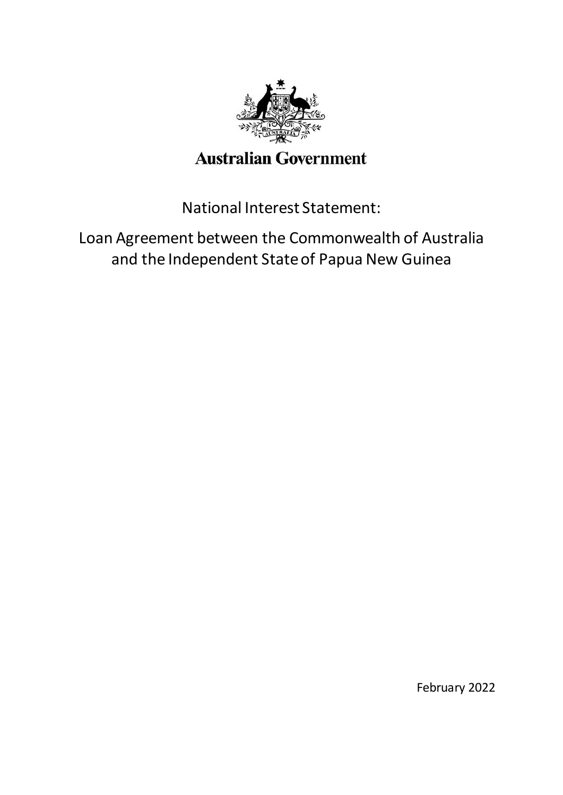

# **Australian Government**

National Interest Statement:

Loan Agreement between the Commonwealth of Australia and the Independent State of Papua New Guinea

February 2022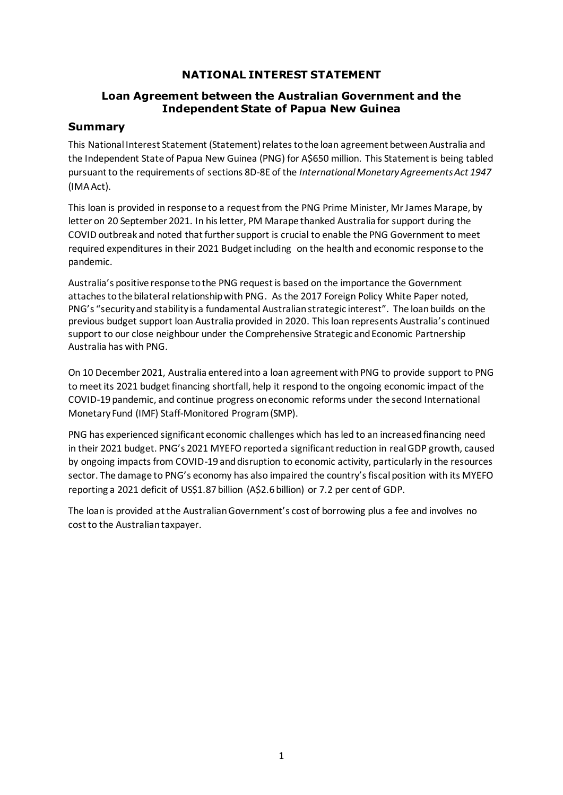## **NATIONAL INTEREST STATEMENT**

#### **Loan Agreement between the Australian Government and the Independent State of Papua New Guinea**

#### **Summary**

This National Interest Statement (Statement) relates to the loan agreement between Australia and the Independent State of Papua New Guinea (PNG) for A\$650 million. This Statement is being tabled pursuant to the requirements of sections 8D-8E of the *International Monetary Agreements Act 1947* (IMAAct).

This loan is provided in response to a request from the PNG Prime Minister, Mr James Marape, by letter on 20 September 2021. In his letter, PM Marape thanked Australia for support during the COVID outbreak and noted that further support is crucial to enable the PNG Government to meet required expenditures in their 2021 Budget including on the health and economic response to the pandemic.

Australia's positive response to the PNG request is based on the importance the Government attaches to the bilateral relationship with PNG. As the 2017 Foreign Policy White Paper noted, PNG's "security and stability is a fundamental Australian strategic interest". The loan builds on the previous budget support loan Australia provided in 2020. This loan represents Australia's continued support to our close neighbour under the Comprehensive Strategic and Economic Partnership Australia has with PNG.

On 10 December 2021, Australia entered into a loan agreement with PNG to provide support to PNG to meet its 2021 budget financing shortfall, help it respond to the ongoing economic impact of the COVID-19 pandemic, and continue progress oneconomic reforms under the second International Monetary Fund (IMF) Staff-Monitored Program (SMP).

PNG has experienced significant economic challenges which has led to an increased financing need in their 2021 budget. PNG's 2021 MYEFO reported a significant reduction in real GDP growth, caused by ongoing impacts from COVID-19 and disruption to economic activity, particularly in the resources sector. The damage to PNG's economy has also impaired the country's fiscal position with its MYEFO reporting a 2021 deficit of US\$1.87 billion (A\$2.6 billion) or 7.2 per cent of GDP.

The loan is provided at the Australian Government's cost of borrowing plus a fee and involves no cost to the Australian taxpayer.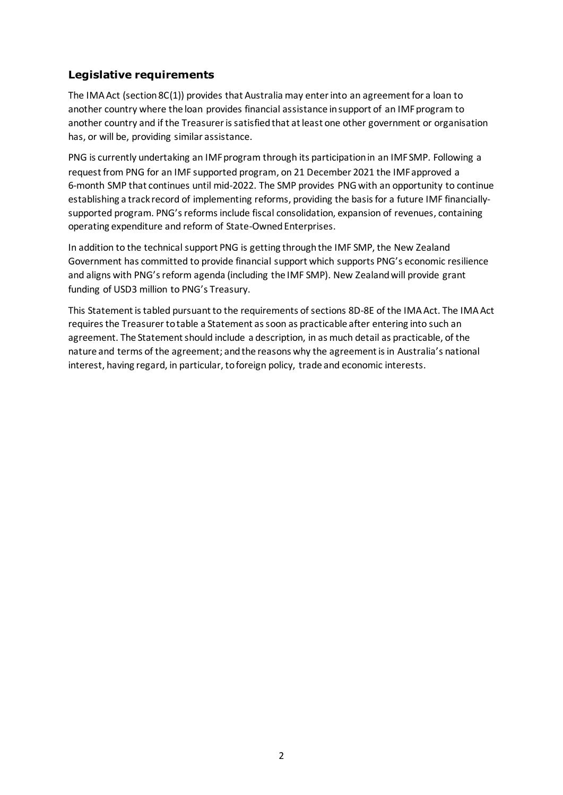# **Legislative requirements**

The IMA Act (section 8C(1)) provides that Australia may enter into an agreement for a loan to another country where the loan provides financial assistance in support of an IMF program to another country and if the Treasurer is satisfied that at least one other government or organisation has, or will be, providing similar assistance.

PNG is currently undertaking an IMF program through its participation in an IMF SMP. Following a request from PNG for an IMF supported program, on 21 December 2021 the IMF approved a 6-month SMP that continues until mid-2022. The SMP provides PNG with an opportunity to continue establishing a track record of implementing reforms, providing the basis for a future IMF financiallysupported program. PNG's reforms include fiscal consolidation, expansion of revenues, containing operating expenditure and reform of State-Owned Enterprises.

In addition to the technical support PNG is getting through the IMF SMP, the New Zealand Government has committed to provide financial support which supports PNG's economic resilience and aligns with PNG's reform agenda (including the IMF SMP). New Zealand will provide grant funding of USD3 million to PNG's Treasury.

This Statement is tabled pursuant to the requirements of sections 8D-8E of the IMA Act. The IMA Act requires the Treasurer to table a Statement as soon as practicable after entering into such an agreement. The Statement should include a description, in as much detail as practicable, of the nature and terms of the agreement; and the reasons why the agreement is in Australia's national interest, having regard, in particular, to foreign policy, trade and economic interests.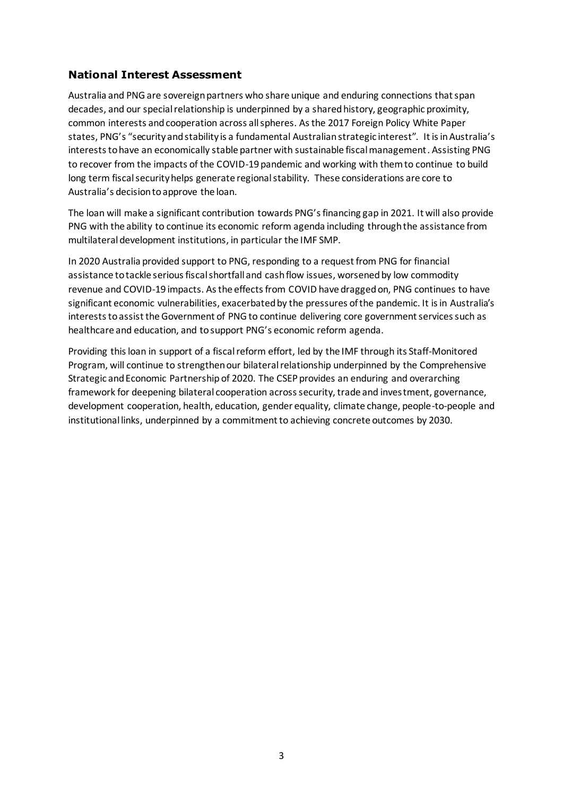## **National Interest Assessment**

Australia and PNG are sovereign partners who share unique and enduring connections that span decades, and our special relationship is underpinned by a shared history, geographic proximity, common interests and cooperation across all spheres. As the 2017 Foreign Policy White Paper states, PNG's "security and stability is a fundamental Australian strategic interest". It is in Australia's interests to have an economically stable partner with sustainable fiscal management. Assisting PNG to recover from the impacts of the COVID-19 pandemic and working with them to continue to build long term fiscal security helps generate regional stability. These considerations are core to Australia's decision to approve the loan.

The loan will make a significant contribution towards PNG's financing gap in 2021. It will also provide PNG with the ability to continue its economic reform agenda including through the assistance from multilateral development institutions, in particular the IMF SMP.

In 2020 Australia provided support to PNG, responding to a request from PNG for financial assistance to tackle serious fiscal shortfall and cash flow issues, worsened by low commodity revenue and COVID-19 impacts. As the effects from COVID have dragged on, PNG continues to have significant economic vulnerabilities, exacerbated by the pressures of the pandemic. It is in Australia's interests toassist the Government of PNG to continue delivering core government services such as healthcare and education, and to support PNG's economic reform agenda.

Providing this loan in support of a fiscal reform effort, led by the IMF through its Staff-Monitored Program, will continue to strengthen our bilateral relationship underpinned by the [Comprehensive](https://www.dfat.gov.au/geo/papua-new-guinea/papua-new-guinea-australia-comprehensive-strategic-and-economic-partnership)  [Strategic and Economic Partnership](https://www.dfat.gov.au/geo/papua-new-guinea/papua-new-guinea-australia-comprehensive-strategic-and-economic-partnership) of 2020. The CSEP provides an enduring and overarching framework for deepening bilateral cooperation across security, trade and investment, governance, development cooperation, health, education, gender equality, climate change, people-to-people and institutional links, underpinned by a commitment to achieving concrete outcomes by 2030.